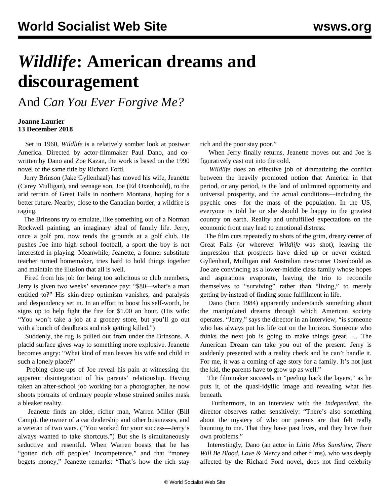## *Wildlife***: American dreams and discouragement**

And *Can You Ever Forgive Me?*

## **Joanne Laurier 13 December 2018**

 Set in 1960, *Wildlife* is a relatively somber look at postwar America. Directed by actor-filmmaker Paul Dano, and cowritten by Dano and Zoe Kazan, the work is based on the 1990 novel of the same title by Richard Ford.

 Jerry Brinson (Jake Gyllenhaal) has moved his wife, Jeanette (Carey Mulligan), and teenage son, Joe (Ed Oxenbould), to the arid terrain of Great Falls in northern Montana, hoping for a better future. Nearby, close to the Canadian border, a wildfire is raging.

 The Brinsons try to emulate, like something out of a Norman Rockwell painting, an imaginary ideal of family life. Jerry, once a golf pro, now tends the grounds at a golf club. He pushes Joe into high school football, a sport the boy is not interested in playing. Meanwhile, Jeanette, a former substitute teacher turned homemaker, tries hard to hold things together and maintain the illusion that all is well.

 Fired from his job for being too solicitous to club members, Jerry is given two weeks' severance pay: "\$80—what's a man entitled to?" His skin-deep optimism vanishes, and paralysis and despondency set in. In an effort to boost his self-worth, he signs up to help fight the fire for \$1.00 an hour. (His wife: "You won't take a job at a grocery store, but you'll go out with a bunch of deadbeats and risk getting killed.")

 Suddenly, the rug is pulled out from under the Brinsons. A placid surface gives way to something more explosive. Jeanette becomes angry: "What kind of man leaves his wife and child in such a lonely place?"

 Probing close-ups of Joe reveal his pain at witnessing the apparent disintegration of his parents' relationship. Having taken an after-school job working for a photographer, he now shoots portraits of ordinary people whose strained smiles mask a bleaker reality.

 Jeanette finds an older, richer man, Warren Miller (Bill Camp), the owner of a car dealership and other businesses, and a veteran of two wars. ("You worked for your success—Jerry's always wanted to take shortcuts.") But she is simultaneously seductive and resentful. When Warren boasts that he has "gotten rich off peoples' incompetence," and that "money" begets money," Jeanette remarks: "That's how the rich stay rich and the poor stay poor."

 When Jerry finally returns, Jeanette moves out and Joe is figuratively cast out into the cold.

 *Wildlife* does an effective job of dramatizing the conflict between the heavily promoted notion that America in that period, or any period, is the land of unlimited opportunity and universal prosperity, and the actual conditions—including the psychic ones—for the mass of the population. In the US, everyone is told he or she should be happy in the greatest country on earth. Reality and unfulfilled expectations on the economic front may lead to emotional distress.

 The film cuts repeatedly to shots of the grim, dreary center of Great Falls (or wherever *Wildlife* was shot), leaving the impression that prospects have dried up or never existed. Gyllenhaal, Mulligan and Australian newcomer Oxenbould as Joe are convincing as a lower-middle class family whose hopes and aspirations evaporate, leaving the trio to reconcile themselves to "surviving" rather than "living," to merely getting by instead of finding some fulfillment in life.

 Dano (born 1984) apparently understands something about the manipulated dreams through which American society operates. "Jerry," says the director in an interview, "is someone who has always put his life out on the horizon. Someone who thinks the next job is going to make things great. … The American Dream can take you out of the present. Jerry is suddenly presented with a reality check and he can't handle it. For me, it was a coming of age story for a family. It's not just the kid, the parents have to grow up as well."

 The filmmaker succeeds in "peeling back the layers," as he puts it, of the quasi-idyllic image and revealing what lies beneath.

 Furthermore, in an interview with the *Independent*, the director observes rather sensitively: "There's also something about the mystery of who our parents are that felt really haunting to me. That they have past lives, and they have their own problems."

 Interestingly, Dano (an actor in *Little Miss Sunshine*, *There Will Be Blood*, *Love & Mercy* and other films), who was deeply affected by the Richard Ford novel, does not find celebrity